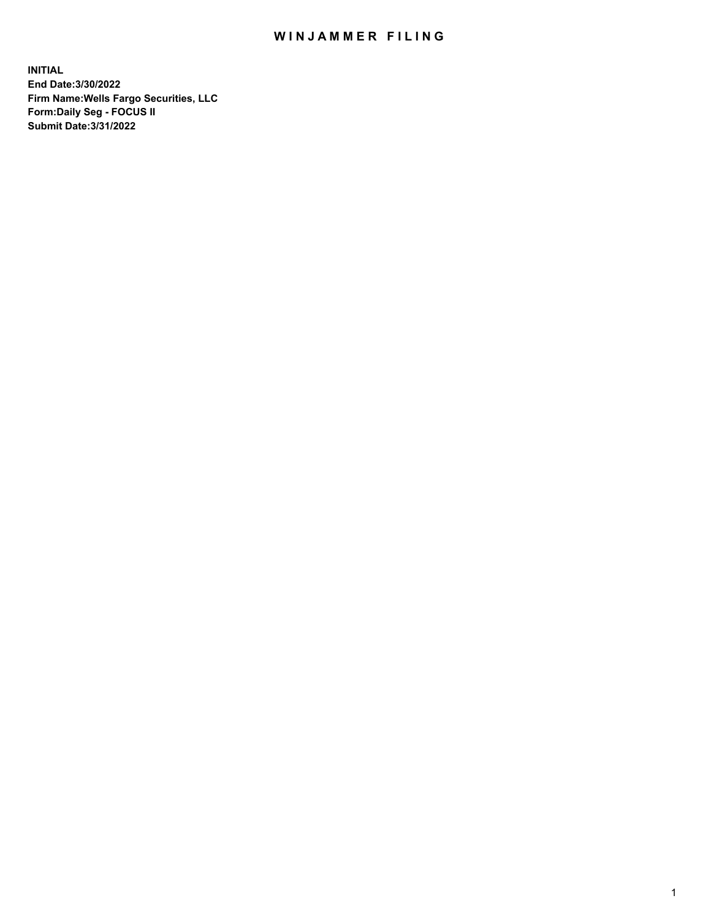## WIN JAMMER FILING

**INITIAL End Date:3/30/2022 Firm Name:Wells Fargo Securities, LLC Form:Daily Seg - FOCUS II Submit Date:3/31/2022**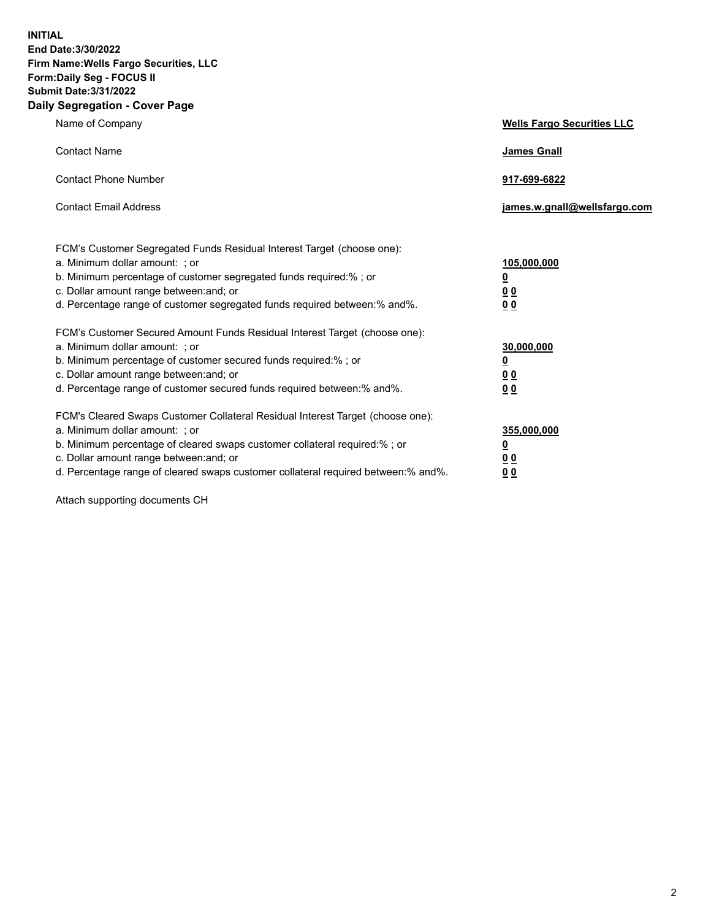**INITIAL End Date:3/30/2022 Firm Name:Wells Fargo Securities, LLC Form:Daily Seg - FOCUS II Submit Date:3/31/2022 Daily Segregation - Cover Page**

| Name of Company                                                                                                                                                                                                                                                                                                                | <b>Wells Fargo Securities LLC</b>                          |
|--------------------------------------------------------------------------------------------------------------------------------------------------------------------------------------------------------------------------------------------------------------------------------------------------------------------------------|------------------------------------------------------------|
| <b>Contact Name</b>                                                                                                                                                                                                                                                                                                            | <b>James Gnall</b>                                         |
| <b>Contact Phone Number</b>                                                                                                                                                                                                                                                                                                    | 917-699-6822                                               |
| <b>Contact Email Address</b>                                                                                                                                                                                                                                                                                                   | james.w.gnall@wellsfargo.com                               |
| FCM's Customer Segregated Funds Residual Interest Target (choose one):<br>a. Minimum dollar amount: ; or<br>b. Minimum percentage of customer segregated funds required:% ; or<br>c. Dollar amount range between: and; or<br>d. Percentage range of customer segregated funds required between:% and%.                         | 105,000,000<br><u>0</u><br>0 <sub>0</sub><br>00            |
| FCM's Customer Secured Amount Funds Residual Interest Target (choose one):<br>a. Minimum dollar amount: ; or<br>b. Minimum percentage of customer secured funds required:%; or<br>c. Dollar amount range between: and; or<br>d. Percentage range of customer secured funds required between:% and%.                            | 30,000,000<br><u>0</u><br>0 <sub>0</sub><br>0 <sub>0</sub> |
| FCM's Cleared Swaps Customer Collateral Residual Interest Target (choose one):<br>a. Minimum dollar amount: ; or<br>b. Minimum percentage of cleared swaps customer collateral required:% ; or<br>c. Dollar amount range between: and; or<br>d. Percentage range of cleared swaps customer collateral required between:% and%. | 355,000,000<br><u>0</u><br>00<br>00                        |

Attach supporting documents CH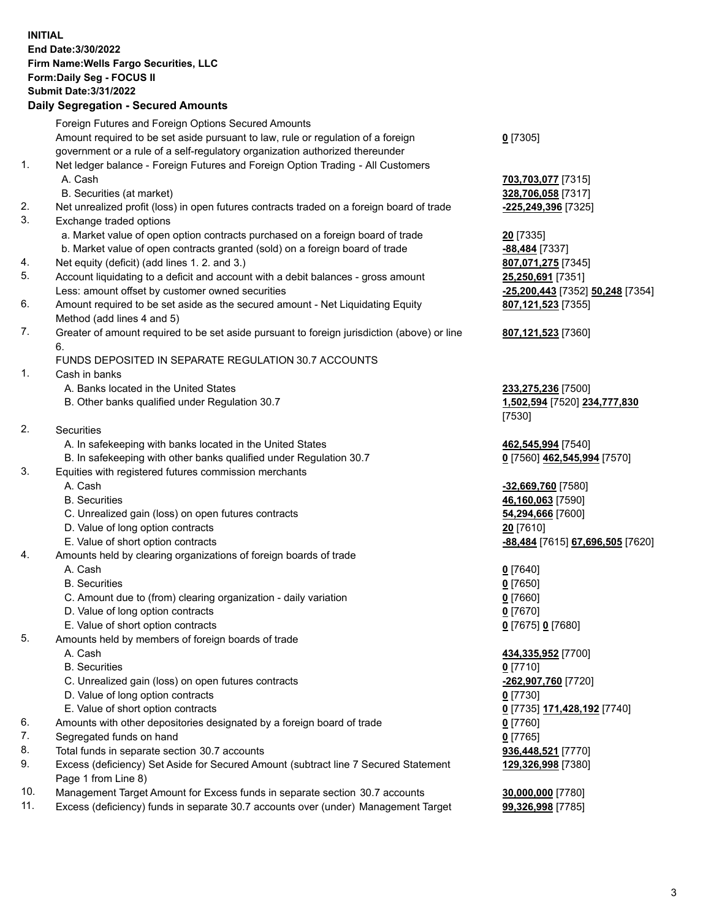**INITIAL End Date:3/30/2022 Firm Name:Wells Fargo Securities, LLC Form:Daily Seg - FOCUS II Submit Date:3/31/2022 Daily Segregation - Secured Amounts**

Foreign Futures and Foreign Options Secured Amounts Amount required to be set aside pursuant to law, rule or regulation of a foreign government or a rule of a self-regulatory organization authorized thereunder **0** [7305] 1. Net ledger balance - Foreign Futures and Foreign Option Trading - All Customers A. Cash **703,703,077** [7315] B. Securities (at market) **328,706,058** [7317] 2. Net unrealized profit (loss) in open futures contracts traded on a foreign board of trade **-225,249,396** [7325] 3. Exchange traded options a. Market value of open option contracts purchased on a foreign board of trade **20** [7335] b. Market value of open contracts granted (sold) on a foreign board of trade **-88,484** [7337] 4. Net equity (deficit) (add lines 1. 2. and 3.) **807,071,275** [7345] 5. Account liquidating to a deficit and account with a debit balances - gross amount **25,250,691** [7351] Less: amount offset by customer owned securities **-25,200,443** [7352] **50,248** [7354] 6. Amount required to be set aside as the secured amount - Net Liquidating Equity Method (add lines 4 and 5) **807,121,523** [7355] 7. Greater of amount required to be set aside pursuant to foreign jurisdiction (above) or line 6. **807,121,523** [7360] FUNDS DEPOSITED IN SEPARATE REGULATION 30.7 ACCOUNTS 1. Cash in banks A. Banks located in the United States **233,275,236** [7500] B. Other banks qualified under Regulation 30.7 **1,502,594** [7520] **234,777,830** [7530] 2. Securities A. In safekeeping with banks located in the United States **462,545,994** [7540] B. In safekeeping with other banks qualified under Regulation 30.7 **0** [7560] **462,545,994** [7570] 3. Equities with registered futures commission merchants A. Cash **-32,669,760** [7580] B. Securities **46,160,063** [7590] C. Unrealized gain (loss) on open futures contracts **54,294,666** [7600] D. Value of long option contracts **20** [7610] E. Value of short option contracts **-88,484** [7615] **67,696,505** [7620] 4. Amounts held by clearing organizations of foreign boards of trade A. Cash **0** [7640] B. Securities **0** [7650] C. Amount due to (from) clearing organization - daily variation **0** [7660] D. Value of long option contracts **0** [7670] E. Value of short option contracts **0** [7675] **0** [7680] 5. Amounts held by members of foreign boards of trade A. Cash **434,335,952** [7700] B. Securities **0** [7710] C. Unrealized gain (loss) on open futures contracts **-262,907,760** [7720] D. Value of long option contracts **0** [7730] E. Value of short option contracts **0** [7735] **171,428,192** [7740] 6. Amounts with other depositories designated by a foreign board of trade **0** [7760] 7. Segregated funds on hand **0** [7765] 8. Total funds in separate section 30.7 accounts **936,448,521** [7770]

- 9. Excess (deficiency) Set Aside for Secured Amount (subtract line 7 Secured Statement Page 1 from Line 8)
- 10. Management Target Amount for Excess funds in separate section 30.7 accounts **30,000,000** [7780]
- 11. Excess (deficiency) funds in separate 30.7 accounts over (under) Management Target **99,326,998** [7785]

**129,326,998** [7380]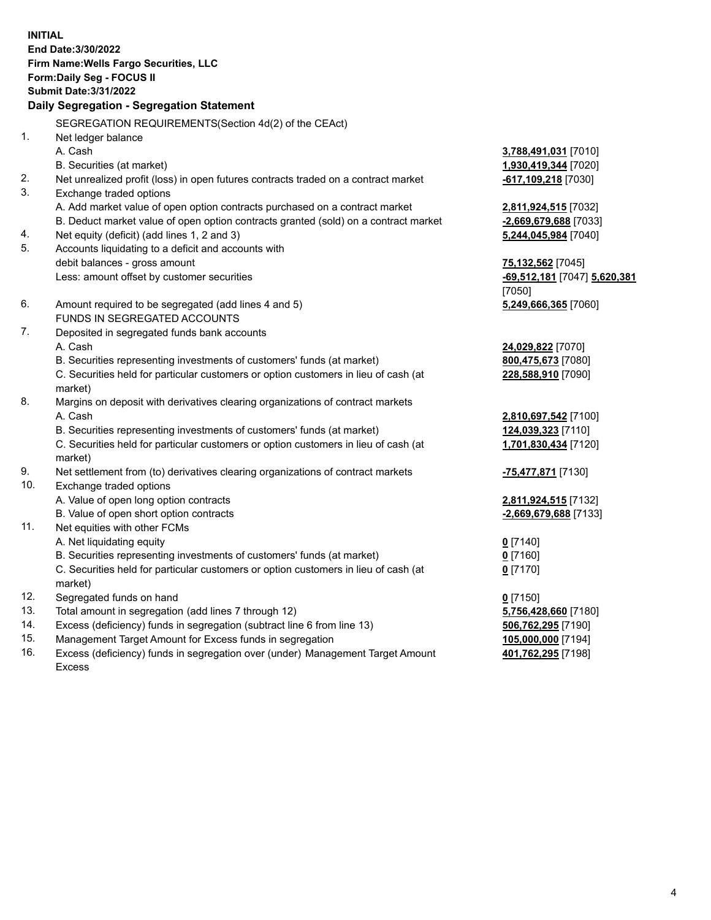**INITIAL End Date:3/30/2022 Firm Name:Wells Fargo Securities, LLC Form:Daily Seg - FOCUS II Submit Date:3/31/2022 Daily Segregation - Segregation Statement** SEGREGATION REQUIREMENTS(Section 4d(2) of the CEAct) 1. Net ledger balance A. Cash **3,788,491,031** [7010] B. Securities (at market) **1,930,419,344** [7020] 2. Net unrealized profit (loss) in open futures contracts traded on a contract market **-617,109,218** [7030] 3. Exchange traded options A. Add market value of open option contracts purchased on a contract market **2,811,924,515** [7032] B. Deduct market value of open option contracts granted (sold) on a contract market **-2,669,679,688** [7033] 4. Net equity (deficit) (add lines 1, 2 and 3) **5,244,045,984** [7040] 5. Accounts liquidating to a deficit and accounts with debit balances - gross amount **75,132,562** [7045] Less: amount offset by customer securities **-69,512,181** [7047] **5,620,381** [7050] 6. Amount required to be segregated (add lines 4 and 5) **5,249,666,365** [7060] FUNDS IN SEGREGATED ACCOUNTS 7. Deposited in segregated funds bank accounts A. Cash **24,029,822** [7070] B. Securities representing investments of customers' funds (at market) **800,475,673** [7080] C. Securities held for particular customers or option customers in lieu of cash (at market) **228,588,910** [7090] 8. Margins on deposit with derivatives clearing organizations of contract markets A. Cash **2,810,697,542** [7100] B. Securities representing investments of customers' funds (at market) **124,039,323** [7110] C. Securities held for particular customers or option customers in lieu of cash (at market) **1,701,830,434** [7120] 9. Net settlement from (to) derivatives clearing organizations of contract markets **-75,477,871** [7130] 10. Exchange traded options A. Value of open long option contracts **2,811,924,515** [7132] B. Value of open short option contracts **-2,669,679,688** [7133] 11. Net equities with other FCMs A. Net liquidating equity **0** [7140] B. Securities representing investments of customers' funds (at market) **0** [7160] C. Securities held for particular customers or option customers in lieu of cash (at market) **0** [7170] 12. Segregated funds on hand **0** [7150] 13. Total amount in segregation (add lines 7 through 12) **5,756,428,660** [7180] 14. Excess (deficiency) funds in segregation (subtract line 6 from line 13) **506,762,295** [7190] 15. Management Target Amount for Excess funds in segregation **105,000,000** [7194]

16. Excess (deficiency) funds in segregation over (under) Management Target Amount Excess

**401,762,295** [7198]